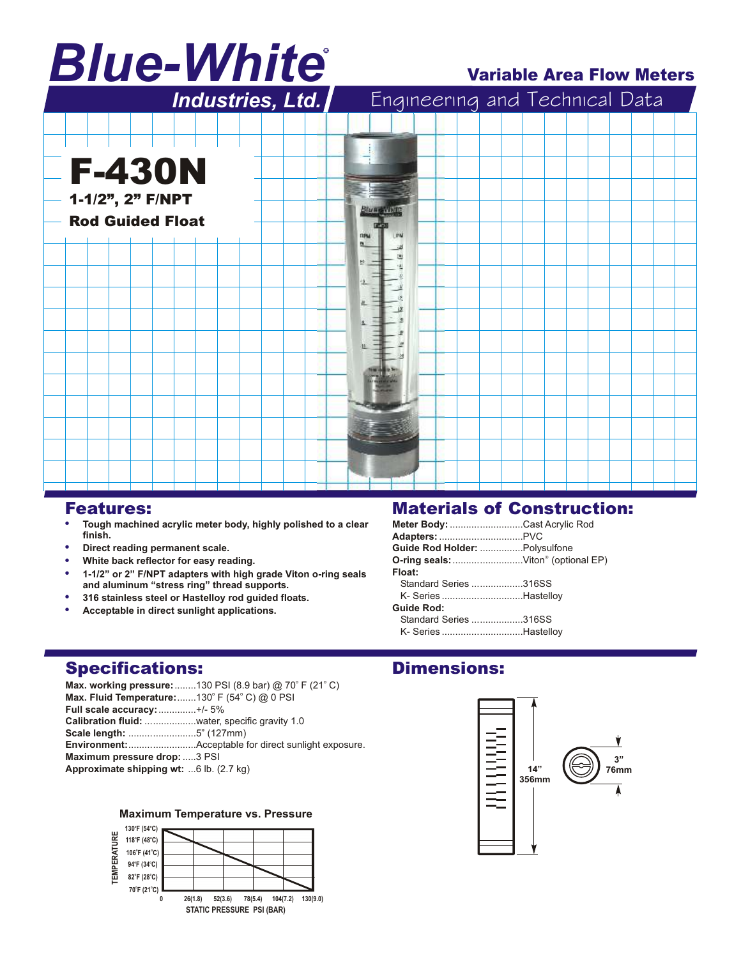# *Blue-White* R

## Variable Area Flow Meters



### Features:

- -**Tough machined acrylic meter body, highly polished to a clear finish.**
- -**Direct reading permanent scale.**
- -**White back reflector for easy reading.**
- -**1-1/2" or 2" F/NPT adapters with high grade Viton o-ring seals and aluminum "stress ring" thread supports.**
- -**316 stainless steel or Hastelloy rod guided floats.**
- -**Acceptable in direct sunlight applications.**

# Materials of Construction:

| Meter Body: Cast Acrylic Rod       |  |
|------------------------------------|--|
|                                    |  |
| Guide Rod Holder: Polysulfone      |  |
| O-ring seals: Viton® (optional EP) |  |
| Float:                             |  |
| Standard Series 316SS              |  |
| K- Series Hastelloy                |  |
| <b>Guide Rod:</b>                  |  |
| Standard Series 316SS              |  |
| K- Series Hastelloy                |  |

Dimensions:

# Specifications:

**Max. working pressure:**........130 PSI (8.9 bar) @ 70° F (21° C) **Max. Fluid Temperature:**.......130° F (54° C) @ 0 PSI **Full scale accuracy:**..............+/- 5% **Calibration fluid:** ...................water, specific gravity 1.0 **Scale length:** .........................5" (127mm) **Environment:**.........................Acceptable for direct sunlight exposure. **Maximum pressure drop:**.....3 PSI **Approximate shipping wt:** ...6 lb. (2.7 kg)

### **Maximum Temperature vs. Pressure**